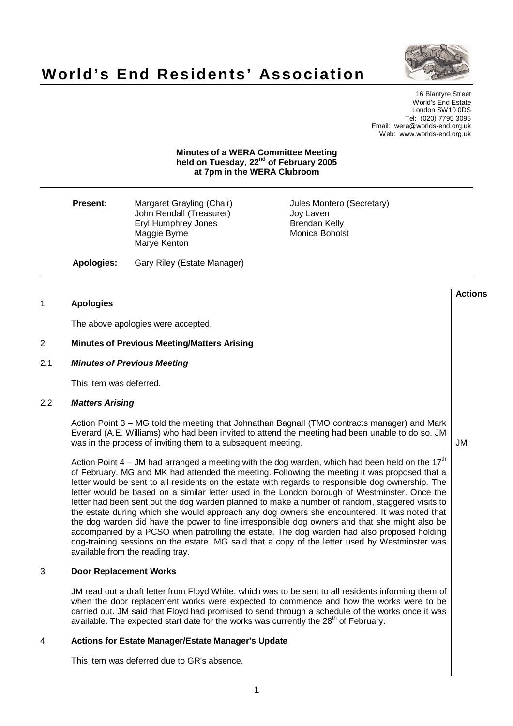# **World's End Residents' Association**



16 Blantyre Street World's End Estate London SW10 0DS Tel: (020) 7795 3095 Email: wera@worlds-end.org.uk Web: www.worlds-end.org.uk

#### **Minutes of a WERA Committee Meeting held on Tuesday, 22 nd of February 2005 at 7pm in the WERA Clubroom**

**Present:** Margaret Grayling (Chair) **Jules Montero (Secretary)** John Rendall (Treasurer) Joy Laven<br>Ervl Humphrev Jones Brendan Kelly Eryl Humphrey Jones<br>
Maggie Byrne<br>
Monica Boholst Maggie Byrne Marye Kenton

**Apologies:** Gary Riley (Estate Manager)

# 1 **Apologies**

The above apologies were accepted.

# 2 **Minutes of Previous Meeting/Matters Arising**

#### 2.1 **Minutes of Previous Meeting**

This item was deferred.

#### 2.2 **Matters Arising**

Action Point 3 – MG told the meeting that Johnathan Bagnall (TMO contracts manager) and Mark Everard (A.E. Williams) who had been invited to attend the meeting had been unable to do so. JM was in the process of inviting them to a subsequent meeting.

Action Point 4 – JM had arranged a meeting with the dog warden, which had been held on the 17<sup>th</sup> of February. MG and MK had attended the meeting. Following the meeting it was proposed that a letter would be sent to all residents on the estate with regards to responsible dog ownership. The letter would be based on a similar letter used in the London borough of Westminster. Once the letter had been sent out the dog warden planned to make a number of random, staggered visits to the estate during which she would approach any dog owners she encountered. It was noted that the dog warden did have the power to fine irresponsible dog owners and that she might also be accompanied by a PCSO when patrolling the estate. The dog warden had also proposed holding dog-training sessions on the estate. MG said that a copy of the letter used by Westminster was available from the reading tray.

#### 3 **Door Replacement Works**

JM read out a draft letter from Floyd White, which was to be sent to all residents informing them of when the door replacement works were expected to commence and how the works were to be carried out. JM said that Floyd had promised to send through a schedule of the works once it was available. The expected start date for the works was currently the 28<sup>th</sup> of February.

#### 4 **Actions for Estate Manager/Estate Manager's Update**

This item was deferred due to GR's absence.

**Actions**

JM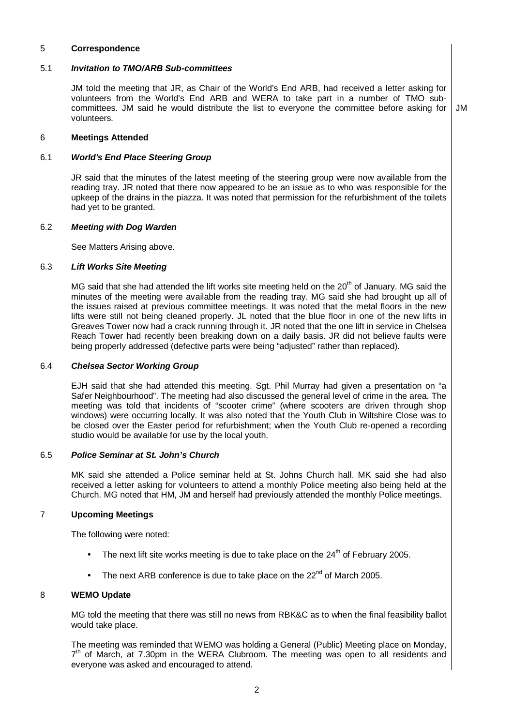#### 5 **Correspondence**

# 5.1 **Invitation to TMO/ARB Sub-committees**

JM told the meeting that JR, as Chair of the World's End ARB, had received a letter asking for volunteers from the World's End ARB and WERA to take part in a number of TMO subcommittees. JM said he would distribute the list to everyone the committee before asking for volunteers.

JM

#### 6 **Meetings Attended**

# 6.1 **World's End Place Steering Group**

JR said that the minutes of the latest meeting of the steering group were now available from the reading tray. JR noted that there now appeared to be an issue as to who was responsible for the upkeep of the drains in the piazza. It was noted that permission for the refurbishment of the toilets had yet to be granted.

# 6.2 **Meeting with Dog Warden**

See Matters Arising above.

# 6.3 **Lift Works Site Meeting**

MG said that she had attended the lift works site meeting held on the 20<sup>th</sup> of January. MG said the minutes of the meeting were available from the reading tray. MG said she had brought up all of the issues raised at previous committee meetings. It was noted that the metal floors in the new lifts were still not being cleaned properly. JL noted that the blue floor in one of the new lifts in Greaves Tower now had a crack running through it. JR noted that the one lift in service in Chelsea Reach Tower had recently been breaking down on a daily basis. JR did not believe faults were being properly addressed (defective parts were being "adjusted" rather than replaced).

#### 6.4 **Chelsea Sector Working Group**

EJH said that she had attended this meeting. Sgt. Phil Murray had given a presentation on "a Safer Neighbourhood". The meeting had also discussed the general level of crime in the area. The meeting was told that incidents of "scooter crime" (where scooters are driven through shop windows) were occurring locally. It was also noted that the Youth Club in Wiltshire Close was to be closed over the Easter period for refurbishment; when the Youth Club re-opened a recording studio would be available for use by the local youth.

# 6.5 **Police Seminar at St. John's Church**

MK said she attended a Police seminar held at St. Johns Church hall. MK said she had also received a letter asking for volunteers to attend a monthly Police meeting also being held at the Church. MG noted that HM, JM and herself had previously attended the monthly Police meetings.

# 7 **Upcoming Meetings**

The following were noted:

- The next lift site works meeting is due to take place on the  $24<sup>th</sup>$  of February 2005.
- The next ARB conference is due to take place on the  $22^{nd}$  of March 2005.

#### 8 **WEMO Update**

MG told the meeting that there was still no news from RBK&C as to when the final feasibility ballot would take place.

The meeting was reminded that WEMO was holding a General (Public) Meeting place on Monday, 7<sup>th</sup> of March, at 7.30pm in the WERA Clubroom. The meeting was open to all residents and everyone was asked and encouraged to attend.